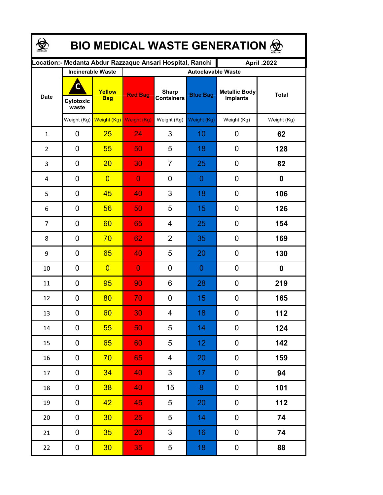| BIO MEDICAL WASTE GENERATION & |                          |                      |                                                            |                                   |                 |                                  |              |  |  |  |
|--------------------------------|--------------------------|----------------------|------------------------------------------------------------|-----------------------------------|-----------------|----------------------------------|--------------|--|--|--|
|                                |                          |                      | Location: - Medanta Abdur Razzaque Ansari Hospital, Ranchi |                                   |                 | April .2022                      |              |  |  |  |
| <b>Date</b>                    | <b>Incinerable Waste</b> |                      | <b>Autoclavable Waste</b>                                  |                                   |                 |                                  |              |  |  |  |
|                                | Cytotoxic<br>waste       | Yellow<br><b>Bag</b> | <b>Red Bag</b>                                             | <b>Sharp</b><br><b>Containers</b> | <b>Blue Bag</b> | <b>Metallic Body</b><br>implants | <b>Total</b> |  |  |  |
|                                | Weight (Kg)              | Weight (Kg)          | Weight (Kg)                                                | Weight (Kg)                       | Weight (Kg)     | Weight (Kg)                      | Weight (Kg)  |  |  |  |
| $\mathbf{1}$                   | 0                        | 25                   | 24                                                         | 3                                 | 10              | 0                                | 62           |  |  |  |
| $\overline{2}$                 | 0                        | 55                   | 50                                                         | 5                                 | 18              | 0                                | 128          |  |  |  |
| 3                              | 0                        | 20                   | 30                                                         | $\overline{7}$                    | 25              | $\mathbf 0$                      | 82           |  |  |  |
| 4                              | 0                        | $\overline{0}$       | $\overline{0}$                                             | 0                                 | $\mathbf 0$     | $\mathbf 0$                      | 0            |  |  |  |
| 5                              | 0                        | 45                   | 40                                                         | 3                                 | 18              | 0                                | 106          |  |  |  |
| 6                              | 0                        | 56                   | 50                                                         | 5                                 | 15              | 0                                | 126          |  |  |  |
| $\overline{7}$                 | 0                        | 60                   | 65                                                         | 4                                 | 25              | 0                                | 154          |  |  |  |
| 8                              | 0                        | 70                   | 62                                                         | $\overline{2}$                    | 35              | 0                                | 169          |  |  |  |
| 9                              | 0                        | 65                   | 40                                                         | 5                                 | 20              | 0                                | 130          |  |  |  |
| 10                             | 0                        | $\overline{0}$       | $\overline{0}$                                             | 0                                 | $\mathbf 0$     | 0                                | 0            |  |  |  |
| 11                             | 0                        | 95                   | 90                                                         | 6                                 | 28              | 0                                | 219          |  |  |  |
| 12                             | 0                        | 80                   | 70                                                         | 0                                 | 15              | 0                                | 165          |  |  |  |
| 13                             | 0                        | 60                   | 30                                                         | 4                                 | 18              | 0                                | 112          |  |  |  |
| 14                             | 0                        | 55                   | 50                                                         | 5                                 | 14              | 0                                | 124          |  |  |  |
| 15                             | 0                        | 65                   | 60                                                         | 5                                 | 12 <sub>2</sub> | 0                                | 142          |  |  |  |
| 16                             | 0                        | 70                   | 65                                                         | 4                                 | 20              | 0                                | 159          |  |  |  |
| 17                             | 0                        | 34                   | 40                                                         | $\mathbf{3}$                      | 17              | 0                                | 94           |  |  |  |
| 18                             | 0                        | 38                   | 40                                                         | 15                                | $8\phantom{1}$  | 0                                | 101          |  |  |  |
| 19                             | 0                        | 42 <sub>2</sub>      | 45                                                         | 5                                 | 20              | 0                                | 112          |  |  |  |
| $20\,$                         | 0                        | 30 <sub>o</sub>      | 25                                                         | 5                                 | 14              | 0                                | 74           |  |  |  |
| 21                             | 0                        | 35 <sub>2</sub>      | 20                                                         | $\mathfrak{S}$                    | 16              | 0                                | 74           |  |  |  |
| 22                             | $\mathbf 0$              | 30 <sub>o</sub>      | 35                                                         | 5                                 | 18              | 0                                | 88           |  |  |  |